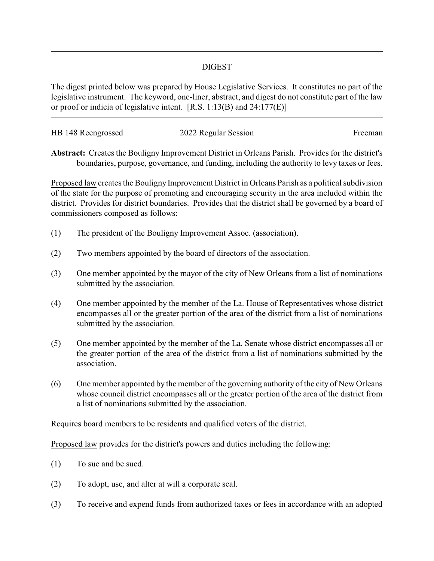## DIGEST

The digest printed below was prepared by House Legislative Services. It constitutes no part of the legislative instrument. The keyword, one-liner, abstract, and digest do not constitute part of the law or proof or indicia of legislative intent. [R.S. 1:13(B) and 24:177(E)]

| HB 148 Reengrossed | 2022 Regular Session | Freeman |
|--------------------|----------------------|---------|
|                    |                      |         |

**Abstract:** Creates the Bouligny Improvement District in Orleans Parish. Provides for the district's boundaries, purpose, governance, and funding, including the authority to levy taxes or fees.

Proposed law creates the Bouligny Improvement District in Orleans Parish as a political subdivision of the state for the purpose of promoting and encouraging security in the area included within the district. Provides for district boundaries. Provides that the district shall be governed by a board of commissioners composed as follows:

- (1) The president of the Bouligny Improvement Assoc. (association).
- (2) Two members appointed by the board of directors of the association.
- (3) One member appointed by the mayor of the city of New Orleans from a list of nominations submitted by the association.
- (4) One member appointed by the member of the La. House of Representatives whose district encompasses all or the greater portion of the area of the district from a list of nominations submitted by the association.
- (5) One member appointed by the member of the La. Senate whose district encompasses all or the greater portion of the area of the district from a list of nominations submitted by the association.
- (6) One member appointed by the member of the governing authority of the city of New Orleans whose council district encompasses all or the greater portion of the area of the district from a list of nominations submitted by the association.

Requires board members to be residents and qualified voters of the district.

Proposed law provides for the district's powers and duties including the following:

- (1) To sue and be sued.
- (2) To adopt, use, and alter at will a corporate seal.
- (3) To receive and expend funds from authorized taxes or fees in accordance with an adopted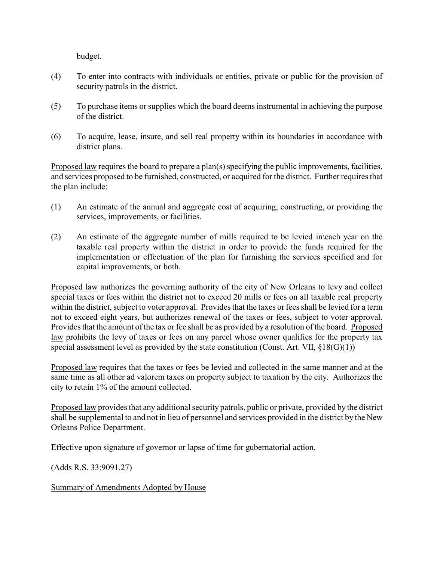budget.

- (4) To enter into contracts with individuals or entities, private or public for the provision of security patrols in the district.
- (5) To purchase items or supplies which the board deems instrumental in achieving the purpose of the district.
- (6) To acquire, lease, insure, and sell real property within its boundaries in accordance with district plans.

Proposed law requires the board to prepare a plan(s) specifying the public improvements, facilities, and services proposed to be furnished, constructed, or acquired for the district. Further requires that the plan include:

- (1) An estimate of the annual and aggregate cost of acquiring, constructing, or providing the services, improvements, or facilities.
- (2) An estimate of the aggregate number of mills required to be levied in\each year on the taxable real property within the district in order to provide the funds required for the implementation or effectuation of the plan for furnishing the services specified and for capital improvements, or both.

Proposed law authorizes the governing authority of the city of New Orleans to levy and collect special taxes or fees within the district not to exceed 20 mills or fees on all taxable real property within the district, subject to voter approval. Provides that the taxes or fees shall be levied for a term not to exceed eight years, but authorizes renewal of the taxes or fees, subject to voter approval. Provides that the amount of the tax or fee shall be as provided by a resolution of the board. Proposed law prohibits the levy of taxes or fees on any parcel whose owner qualifies for the property tax special assessment level as provided by the state constitution (Const. Art. VII,  $\S18(G)(1)$ )

Proposed law requires that the taxes or fees be levied and collected in the same manner and at the same time as all other ad valorem taxes on property subject to taxation by the city. Authorizes the city to retain 1% of the amount collected.

Proposed law provides that any additional security patrols, public or private, provided by the district shall be supplemental to and not in lieu of personnel and services provided in the district by the New Orleans Police Department.

Effective upon signature of governor or lapse of time for gubernatorial action.

(Adds R.S. 33:9091.27)

Summary of Amendments Adopted by House